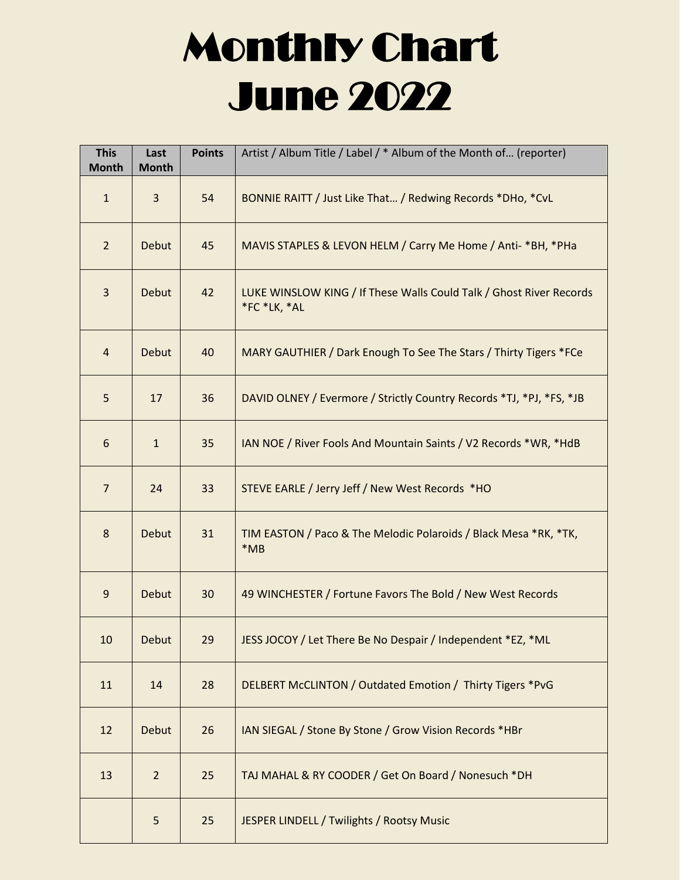## Monthly Chart June 2022

| <b>This</b><br><b>Month</b> | Last<br><b>Month</b> | <b>Points</b> | Artist / Album Title / Label / * Album of the Month of (reporter)                   |
|-----------------------------|----------------------|---------------|-------------------------------------------------------------------------------------|
| $\mathbf{1}$                | 3                    | 54            | BONNIE RAITT / Just Like That / Redwing Records *DHo, *CvL                          |
| $2^{\circ}$                 | Debut                | 45            | MAVIS STAPLES & LEVON HELM / Carry Me Home / Anti- *BH, *PHa                        |
| $\overline{3}$              | Debut                | 42            | LUKE WINSLOW KING / If These Walls Could Talk / Ghost River Records<br>*FC *LK, *AL |
| 4                           | Debut                | 40            | MARY GAUTHIER / Dark Enough To See The Stars / Thirty Tigers *FCe                   |
| 5                           | 17                   | 36            | DAVID OLNEY / Evermore / Strictly Country Records *TJ, *PJ, *FS, *JB                |
| 6                           | $\mathbf{1}$         | 35            | IAN NOE / River Fools And Mountain Saints / V2 Records *WR, *HdB                    |
| $\overline{7}$              | 24                   | 33            | STEVE EARLE / Jerry Jeff / New West Records *HO                                     |
| 8                           | Debut                | 31            | TIM EASTON / Paco & The Melodic Polaroids / Black Mesa *RK, *TK,<br>$*MB$           |
| 9                           | Debut                | 30            | 49 WINCHESTER / Fortune Favors The Bold / New West Records                          |
| 10                          | Debut                | 29            | JESS JOCOY / Let There Be No Despair / Independent *EZ, *ML                         |
| 11                          | 14                   | 28            | DELBERT McCLINTON / Outdated Emotion / Thirty Tigers *PvG                           |
| 12                          | <b>Debut</b>         | 26            | IAN SIEGAL / Stone By Stone / Grow Vision Records *HBr                              |
| 13                          | $\overline{2}$       | 25            | TAJ MAHAL & RY COODER / Get On Board / Nonesuch *DH                                 |
|                             | 5                    | 25            | JESPER LINDELL / Twilights / Rootsy Music                                           |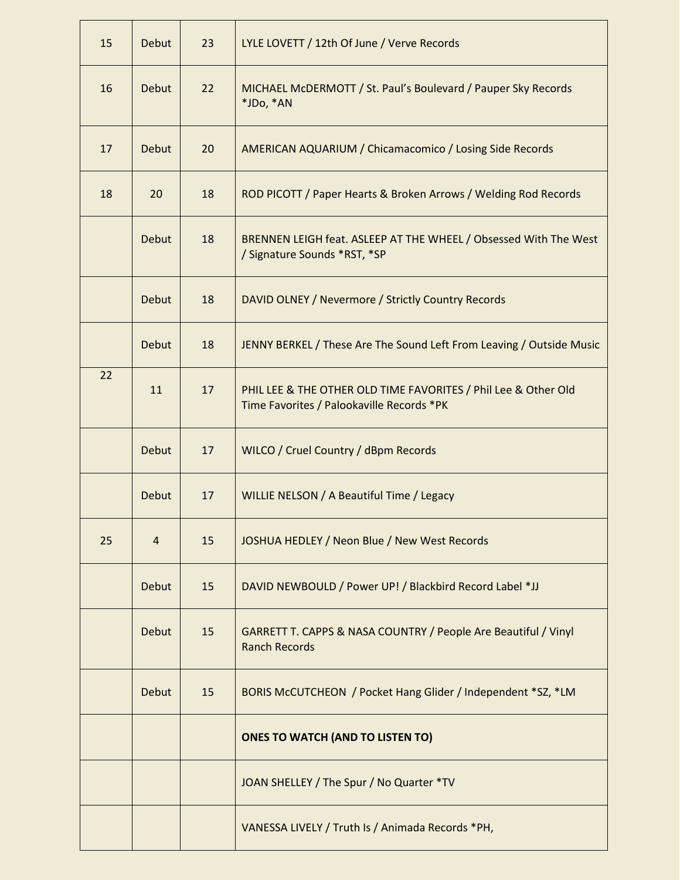| 15 | Debut          | 23 | LYLE LOVETT / 12th Of June / Verve Records                                                                  |
|----|----------------|----|-------------------------------------------------------------------------------------------------------------|
| 16 | <b>Debut</b>   | 22 | MICHAEL McDERMOTT / St. Paul's Boulevard / Pauper Sky Records<br>*JDo, *AN                                  |
| 17 | Debut          | 20 | <b>AMERICAN AQUARIUM / Chicamacomico / Losing Side Records</b>                                              |
| 18 | 20             | 18 | ROD PICOTT / Paper Hearts & Broken Arrows / Welding Rod Records                                             |
|    | Debut          | 18 | BRENNEN LEIGH feat. ASLEEP AT THE WHEEL / Obsessed With The West<br>/ Signature Sounds *RST, *SP            |
|    | <b>Debut</b>   | 18 | DAVID OLNEY / Nevermore / Strictly Country Records                                                          |
|    | Debut          | 18 | JENNY BERKEL / These Are The Sound Left From Leaving / Outside Music                                        |
| 22 | 11             | 17 | PHIL LEE & THE OTHER OLD TIME FAVORITES / Phil Lee & Other Old<br>Time Favorites / Palookaville Records *PK |
|    | Debut          | 17 | WILCO / Cruel Country / dBpm Records                                                                        |
|    | Debut          | 17 | WILLIE NELSON / A Beautiful Time / Legacy                                                                   |
| 25 | $\overline{4}$ | 15 | JOSHUA HEDLEY / Neon Blue / New West Records                                                                |
|    | Debut          | 15 | DAVID NEWBOULD / Power UP! / Blackbird Record Label *JJ                                                     |
|    | Debut          | 15 | GARRETT T. CAPPS & NASA COUNTRY / People Are Beautiful / Vinyl<br><b>Ranch Records</b>                      |
|    | Debut          | 15 | BORIS McCUTCHEON / Pocket Hang Glider / Independent *SZ, *LM                                                |
|    |                |    | <b>ONES TO WATCH (AND TO LISTEN TO)</b>                                                                     |
|    |                |    | JOAN SHELLEY / The Spur / No Quarter *TV                                                                    |
|    |                |    | VANESSA LIVELY / Truth Is / Animada Records *PH,                                                            |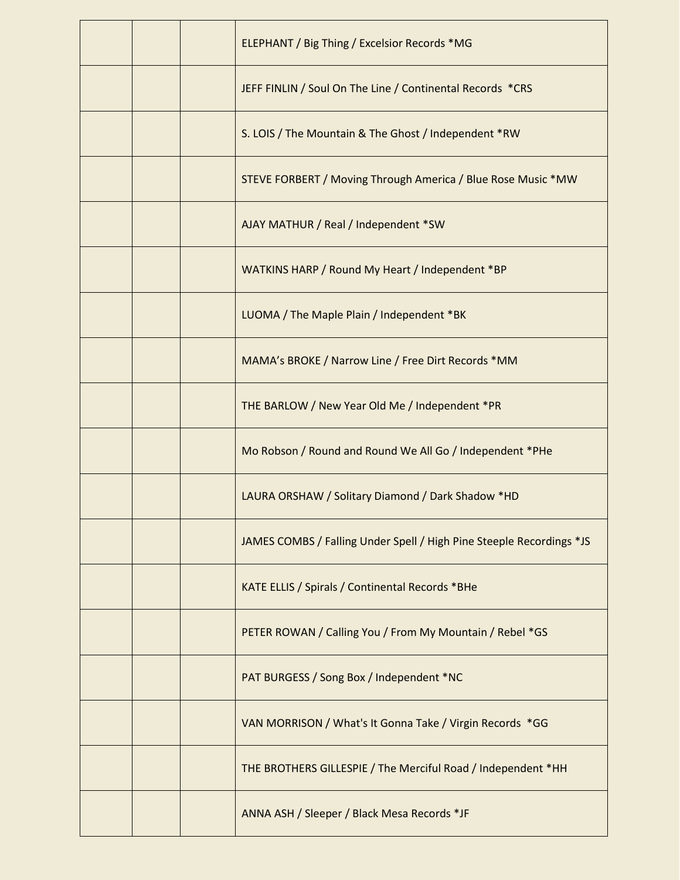|  | <b>ELEPHANT / Big Thing / Excelsior Records *MG</b>                  |
|--|----------------------------------------------------------------------|
|  | JEFF FINLIN / Soul On The Line / Continental Records *CRS            |
|  | S. LOIS / The Mountain & The Ghost / Independent *RW                 |
|  | STEVE FORBERT / Moving Through America / Blue Rose Music *MW         |
|  | AJAY MATHUR / Real / Independent *SW                                 |
|  | WATKINS HARP / Round My Heart / Independent *BP                      |
|  | LUOMA / The Maple Plain / Independent *BK                            |
|  | MAMA's BROKE / Narrow Line / Free Dirt Records *MM                   |
|  | THE BARLOW / New Year Old Me / Independent *PR                       |
|  | Mo Robson / Round and Round We All Go / Independent *PHe             |
|  | LAURA ORSHAW / Solitary Diamond / Dark Shadow *HD                    |
|  | JAMES COMBS / Falling Under Spell / High Pine Steeple Recordings *JS |
|  | KATE ELLIS / Spirals / Continental Records *BHe                      |
|  | PETER ROWAN / Calling You / From My Mountain / Rebel *GS             |
|  | PAT BURGESS / Song Box / Independent *NC                             |
|  | VAN MORRISON / What's It Gonna Take / Virgin Records *GG             |
|  | THE BROTHERS GILLESPIE / The Merciful Road / Independent *HH         |
|  | ANNA ASH / Sleeper / Black Mesa Records *JF                          |